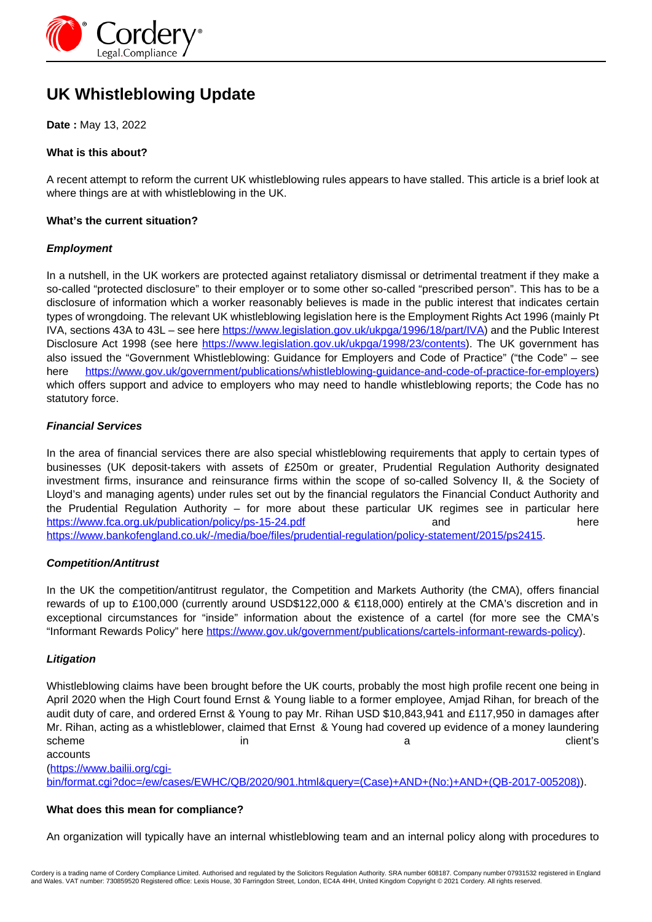

# **UK Whistleblowing Update**

**Date :** May 13, 2022

# **What is this about?**

A recent attempt to reform the current UK whistleblowing rules appears to have stalled. This article is a brief look at where things are at with whistleblowing in the UK.

### **What's the current situation?**

## **Employment**

In a nutshell, in the UK workers are protected against retaliatory dismissal or detrimental treatment if they make a so-called "protected disclosure" to their employer or to some other so-called "prescribed person". This has to be a disclosure of information which a worker reasonably believes is made in the public interest that indicates certain types of wrongdoing. The relevant UK whistleblowing legislation here is the Employment Rights Act 1996 (mainly Pt IVA, sections 43A to 43L – see here<https://www.legislation.gov.uk/ukpga/1996/18/part/IVA>) and the Public Interest Disclosure Act 1998 (see here https://www.legislation.gov.uk/ukpga/1998/23/contents). The UK government has also issued the "Government Whistleblowing: Guidance for Employers and Code of Practice" ("the Code" – see here https://www.gov.uk/government/publications/whistleblowing-guidance-and-code-of-practice-for-employers) which offers support and advice to employers who may need to handle whistleblowing reports; the Code has no statutory force.

## **Financial Services**

In the area of financial services there are also special whistleblowing requirements that apply to certain types of businesses (UK deposit-takers with assets of £250m or greater, Prudential Regulation Authority designated investment firms, insurance and reinsurance firms within the scope of so-called Solvency II, & the Society of Lloyd's and managing agents) under rules set out by the financial regulators the Financial Conduct Authority and the Prudential Regulation Authority – for more about these particular UK regimes see in particular here https://www.fca.org.uk/publication/policy/ps-15-24.pdf and and here https://www.bankofengland.co.uk/-/media/boe/files/prudential-regulation/policy-statement/2015/ps2415.

# **Competition/Antitrust**

In the UK the competition/antitrust regulator, the Competition and Markets Authority (the CMA), offers financial rewards of up to £100,000 (currently around USD\$122,000 & €118,000) entirely at the CMA's discretion and in exceptional circumstances for "inside" information about the existence of a cartel (for more see the CMA's "Informant Rewards Policy" here https://www.gov.uk/government/publications/cartels-informant-rewards-policy).

#### **Litigation**

Whistleblowing claims have been brought before the UK courts, probably the most high profile recent one being in April 2020 when the High Court found Ernst & Young liable to a former employee, Amjad Rihan, for breach of the audit duty of care, and ordered Ernst & Young to pay Mr. Rihan USD \$10,843,941 and £117,950 in damages after Mr. Rihan, acting as a whistleblower, claimed that Ernst & Young had covered up evidence of a money laundering scheme in a client's in a client's contact the client's scheme in a client's client's accounts

(https://www.bailii.org/cgi-

bin/format.cgi?doc=/ew/cases/EWHC/QB/2020/901.html&query=(Case)+AND+(No:)+AND+(QB-2017-005208)).

#### **What does this mean for compliance?**

An organization will typically have an internal whistleblowing team and an internal policy along with procedures to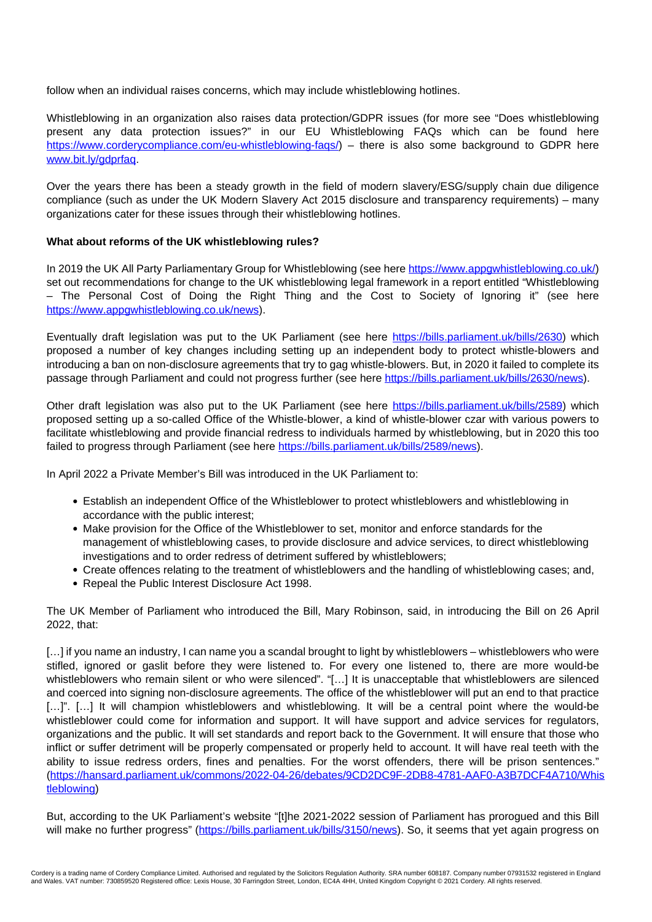follow when an individual raises concerns, which may include whistleblowing hotlines.

Whistleblowing in an organization also raises data protection/GDPR issues (for more see "Does whistleblowing present any data protection issues?" in our EU Whistleblowing FAQs which can be found here https://www.corderycompliance.com/eu-whistleblowing-faqs/) – there is also some background to GDPR here www.bit.ly/gdprfaq.

Over the years there has been a steady growth in the field of modern slavery/ESG/supply chain due diligence compliance (such as under the UK Modern Slavery Act 2015 disclosure and transparency requirements) – many organizations cater for these issues through their whistleblowing hotlines.

## **What about reforms of the UK whistleblowing rules?**

In 2019 the UK All Party Parliamentary Group for Whistleblowing (see here https://www.appgwhistleblowing.co.uk/) set out recommendations for change to the UK whistleblowing legal framework in a report entitled "Whistleblowing – The Personal Cost of Doing the Right Thing and the Cost to Society of Ignoring it" (see here https://www.appgwhistleblowing.co.uk/news).

Eventually draft legislation was put to the UK Parliament (see here https://bills.parliament.uk/bills/2630) which proposed a number of key changes including setting up an independent body to protect whistle-blowers and introducing a ban on non-disclosure agreements that try to gag whistle-blowers. But, in 2020 it failed to complete its passage through Parliament and could not progress further (see here https://bills.parliament.uk/bills/2630/news).

Other draft legislation was also put to the UK Parliament (see here https://bills.parliament.uk/bills/2589) which proposed setting up a so-called Office of the Whistle-blower, a kind of whistle-blower czar with various powers to facilitate whistleblowing and provide financial redress to individuals harmed by whistleblowing, but in 2020 this too failed to progress through Parliament (see here https://bills.parliament.uk/bills/2589/news).

In April 2022 a Private Member's Bill was introduced in the UK Parliament to:

- Establish an independent Office of the Whistleblower to protect whistleblowers and whistleblowing in accordance with the public interest;
- Make provision for the Office of the Whistleblower to set, monitor and enforce standards for the management of whistleblowing cases, to provide disclosure and advice services, to direct whistleblowing investigations and to order redress of detriment suffered by whistleblowers;
- Create offences relating to the treatment of whistleblowers and the handling of whistleblowing cases; and,
- Repeal the Public Interest Disclosure Act 1998.

The UK Member of Parliament who introduced the Bill, Mary Robinson, said, in introducing the Bill on 26 April 2022, that:

[...] if you name an industry, I can name you a scandal brought to light by whistleblowers – whistleblowers who were stifled, ignored or gaslit before they were listened to. For every one listened to, there are more would-be whistleblowers who remain silent or who were silenced". "[...] It is unacceptable that whistleblowers are silenced and coerced into signing non-disclosure agreements. The office of the whistleblower will put an end to that practice [...]". [...] It will champion whistleblowers and whistleblowing. It will be a central point where the would-be whistleblower could come for information and support. It will have support and advice services for regulators, organizations and the public. It will set standards and report back to the Government. It will ensure that those who inflict or suffer detriment will be properly compensated or properly held to account. It will have real teeth with the ability to issue redress orders, fines and penalties. For the worst offenders, there will be prison sentences." (https://hansard.parliament.uk/commons/2022-04-26/debates/9CD2DC9F-2DB8-4781-AAF0-A3B7DCF4A710/Whis tleblowing)

But, according to the UK Parliament's website "[t]he 2021-2022 session of Parliament has prorogued and this Bill will make no further progress" (https://bills.parliament.uk/bills/3150/news). So, it seems that yet again progress on